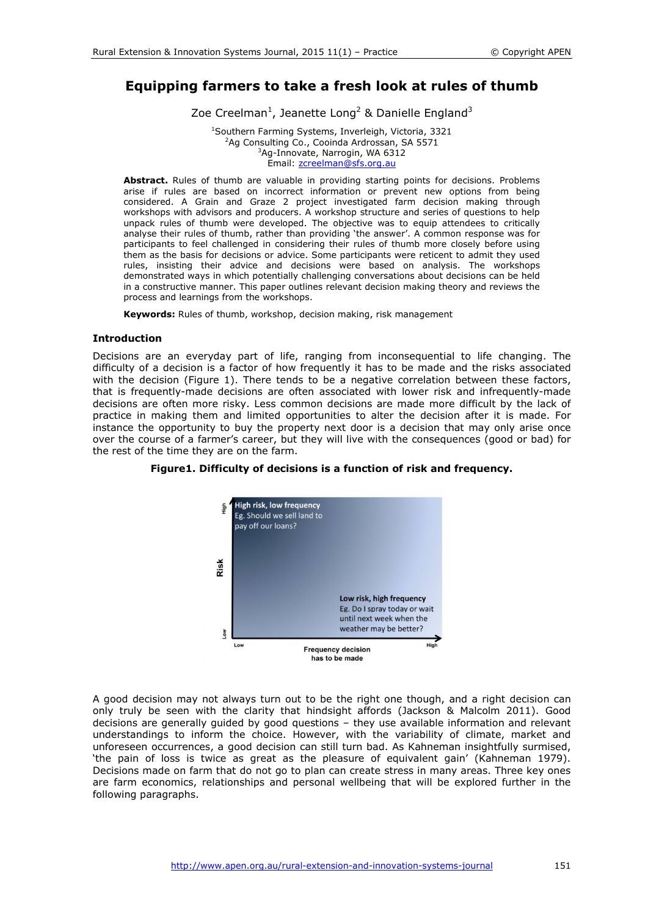# **Equipping farmers to take a fresh look at rules of thumb**

Zoe Creelman<sup>1</sup>, Jeanette Long<sup>2</sup> & Danielle England<sup>3</sup>

<sup>1</sup>Southern Farming Systems, Inverleigh, Victoria, 3321<br><sup>2</sup>Ag Consulting Co., Cooinda Ardrossan, SA 5571 <sup>2</sup>Ag Consulting Co., Cooinda Ardrossan, SA 5571  $3$ Ag-Innovate, Narrogin, WA 6312 Email: zcreelman@sfs.org.au

**Abstract.** Rules of thumb are valuable in providing starting points for decisions. Problems arise if rules are based on incorrect information or prevent new options from being considered. A Grain and Graze 2 project investigated farm decision making through workshops with advisors and producers. A workshop structure and series of questions to help unpack rules of thumb were developed. The objective was to equip attendees to critically analyse their rules of thumb, rather than providing 'the answer'. A common response was for participants to feel challenged in considering their rules of thumb more closely before using them as the basis for decisions or advice. Some participants were reticent to admit they used rules, insisting their advice and decisions were based on analysis. The workshops demonstrated ways in which potentially challenging conversations about decisions can be held in a constructive manner. This paper outlines relevant decision making theory and reviews the process and learnings from the workshops.

**Keywords:** Rules of thumb, workshop, decision making, risk management

# **Introduction**

Decisions are an everyday part of life, ranging from inconsequential to life changing. The difficulty of a decision is a factor of how frequently it has to be made and the risks associated with the decision (Figure 1). There tends to be a negative correlation between these factors, that is frequently-made decisions are often associated with lower risk and infrequently-made decisions are often more risky. Less common decisions are made more difficult by the lack of practice in making them and limited opportunities to alter the decision after it is made. For instance the opportunity to buy the property next door is a decision that may only arise once over the course of a farmer's career, but they will live with the consequences (good or bad) for the rest of the time they are on the farm.



**Figure1. Difficulty of decisions is a function of risk and frequency.** 

A good decision may not always turn out to be the right one though, and a right decision can only truly be seen with the clarity that hindsight affords (Jackson & Malcolm 2011). Good decisions are generally guided by good questions – they use available information and relevant understandings to inform the choice. However, with the variability of climate, market and unforeseen occurrences, a good decision can still turn bad. As Kahneman insightfully surmised, 'the pain of loss is twice as great as the pleasure of equivalent gain' (Kahneman 1979). Decisions made on farm that do not go to plan can create stress in many areas. Three key ones are farm economics, relationships and personal wellbeing that will be explored further in the following paragraphs.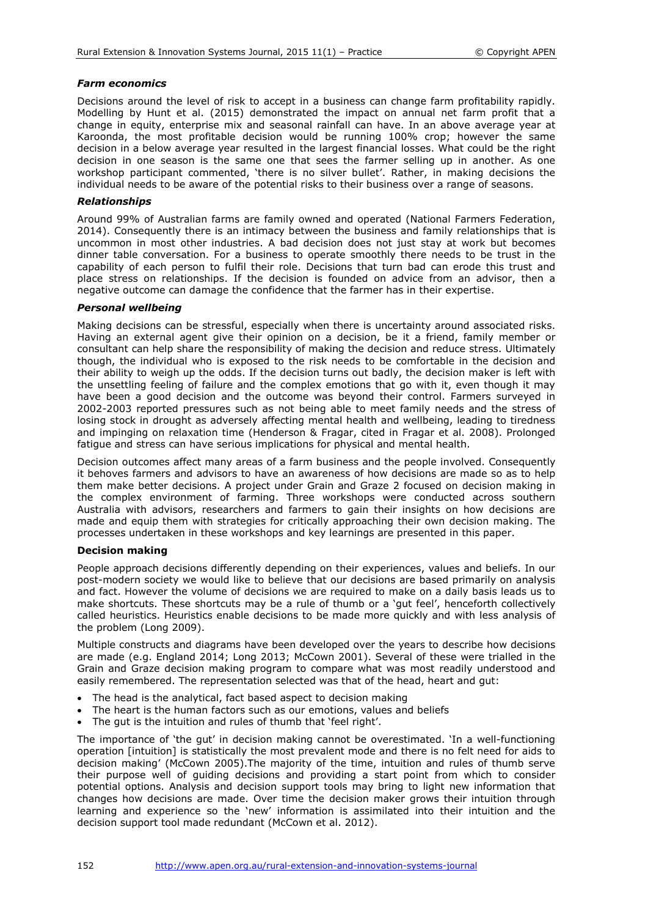# *Farm economics*

Decisions around the level of risk to accept in a business can change farm profitability rapidly. Modelling by Hunt et al. (2015) demonstrated the impact on annual net farm profit that a change in equity, enterprise mix and seasonal rainfall can have. In an above average year at Karoonda, the most profitable decision would be running 100% crop; however the same decision in a below average year resulted in the largest financial losses. What could be the right decision in one season is the same one that sees the farmer selling up in another. As one workshop participant commented, 'there is no silver bullet'. Rather, in making decisions the individual needs to be aware of the potential risks to their business over a range of seasons.

# *Relationships*

Around 99% of Australian farms are family owned and operated (National Farmers Federation, 2014). Consequently there is an intimacy between the business and family relationships that is uncommon in most other industries. A bad decision does not just stay at work but becomes dinner table conversation. For a business to operate smoothly there needs to be trust in the capability of each person to fulfil their role. Decisions that turn bad can erode this trust and place stress on relationships. If the decision is founded on advice from an advisor, then a negative outcome can damage the confidence that the farmer has in their expertise.

# *Personal wellbeing*

Making decisions can be stressful, especially when there is uncertainty around associated risks. Having an external agent give their opinion on a decision, be it a friend, family member or consultant can help share the responsibility of making the decision and reduce stress. Ultimately though, the individual who is exposed to the risk needs to be comfortable in the decision and their ability to weigh up the odds. If the decision turns out badly, the decision maker is left with the unsettling feeling of failure and the complex emotions that go with it, even though it may have been a good decision and the outcome was beyond their control. Farmers surveyed in 2002-2003 reported pressures such as not being able to meet family needs and the stress of losing stock in drought as adversely affecting mental health and wellbeing, leading to tiredness and impinging on relaxation time (Henderson & Fragar, cited in Fragar et al. 2008). Prolonged fatigue and stress can have serious implications for physical and mental health.

Decision outcomes affect many areas of a farm business and the people involved. Consequently it behoves farmers and advisors to have an awareness of how decisions are made so as to help them make better decisions. A project under Grain and Graze 2 focused on decision making in the complex environment of farming. Three workshops were conducted across southern Australia with advisors, researchers and farmers to gain their insights on how decisions are made and equip them with strategies for critically approaching their own decision making. The processes undertaken in these workshops and key learnings are presented in this paper.

## **Decision making**

People approach decisions differently depending on their experiences, values and beliefs. In our post-modern society we would like to believe that our decisions are based primarily on analysis and fact. However the volume of decisions we are required to make on a daily basis leads us to make shortcuts. These shortcuts may be a rule of thumb or a 'gut feel', henceforth collectively called heuristics. Heuristics enable decisions to be made more quickly and with less analysis of the problem (Long 2009).

Multiple constructs and diagrams have been developed over the years to describe how decisions are made (e.g. England 2014; Long 2013; McCown 2001). Several of these were trialled in the Grain and Graze decision making program to compare what was most readily understood and easily remembered. The representation selected was that of the head, heart and gut:

- The head is the analytical, fact based aspect to decision making
- The heart is the human factors such as our emotions, values and beliefs
- The gut is the intuition and rules of thumb that 'feel right'.

The importance of 'the gut' in decision making cannot be overestimated. 'In a well-functioning operation [intuition] is statistically the most prevalent mode and there is no felt need for aids to decision making' (McCown 2005).The majority of the time, intuition and rules of thumb serve their purpose well of guiding decisions and providing a start point from which to consider potential options. Analysis and decision support tools may bring to light new information that changes how decisions are made. Over time the decision maker grows their intuition through learning and experience so the 'new' information is assimilated into their intuition and the decision support tool made redundant (McCown et al. 2012).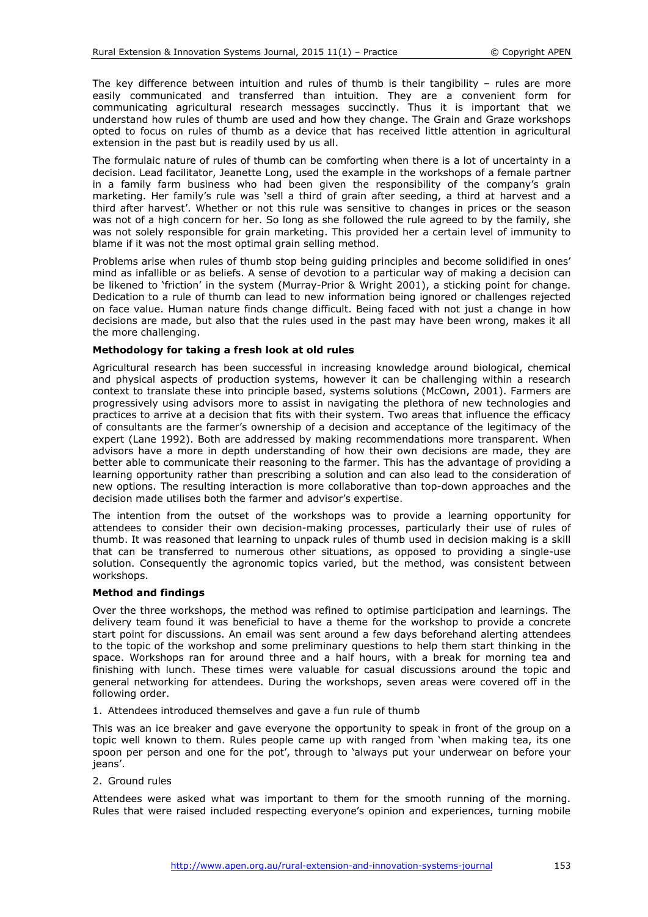The key difference between intuition and rules of thumb is their tangibility – rules are more easily communicated and transferred than intuition. They are a convenient form for communicating agricultural research messages succinctly. Thus it is important that we understand how rules of thumb are used and how they change. The Grain and Graze workshops opted to focus on rules of thumb as a device that has received little attention in agricultural extension in the past but is readily used by us all.

The formulaic nature of rules of thumb can be comforting when there is a lot of uncertainty in a decision. Lead facilitator, Jeanette Long, used the example in the workshops of a female partner in a family farm business who had been given the responsibility of the company's grain marketing. Her family's rule was 'sell a third of grain after seeding, a third at harvest and a third after harvest'. Whether or not this rule was sensitive to changes in prices or the season was not of a high concern for her. So long as she followed the rule agreed to by the family, she was not solely responsible for grain marketing. This provided her a certain level of immunity to blame if it was not the most optimal grain selling method.

Problems arise when rules of thumb stop being guiding principles and become solidified in ones' mind as infallible or as beliefs. A sense of devotion to a particular way of making a decision can be likened to 'friction' in the system (Murray-Prior & Wright 2001), a sticking point for change. Dedication to a rule of thumb can lead to new information being ignored or challenges rejected on face value. Human nature finds change difficult. Being faced with not just a change in how decisions are made, but also that the rules used in the past may have been wrong, makes it all the more challenging.

# **Methodology for taking a fresh look at old rules**

Agricultural research has been successful in increasing knowledge around biological, chemical and physical aspects of production systems, however it can be challenging within a research context to translate these into principle based, systems solutions (McCown, 2001). Farmers are progressively using advisors more to assist in navigating the plethora of new technologies and practices to arrive at a decision that fits with their system. Two areas that influence the efficacy of consultants are the farmer's ownership of a decision and acceptance of the legitimacy of the expert (Lane 1992). Both are addressed by making recommendations more transparent. When advisors have a more in depth understanding of how their own decisions are made, they are better able to communicate their reasoning to the farmer. This has the advantage of providing a learning opportunity rather than prescribing a solution and can also lead to the consideration of new options. The resulting interaction is more collaborative than top-down approaches and the decision made utilises both the farmer and advisor's expertise.

The intention from the outset of the workshops was to provide a learning opportunity for attendees to consider their own decision-making processes, particularly their use of rules of thumb. It was reasoned that learning to unpack rules of thumb used in decision making is a skill that can be transferred to numerous other situations, as opposed to providing a single-use solution. Consequently the agronomic topics varied, but the method, was consistent between workshops.

## **Method and findings**

Over the three workshops, the method was refined to optimise participation and learnings. The delivery team found it was beneficial to have a theme for the workshop to provide a concrete start point for discussions. An email was sent around a few days beforehand alerting attendees to the topic of the workshop and some preliminary questions to help them start thinking in the space. Workshops ran for around three and a half hours, with a break for morning tea and finishing with lunch. These times were valuable for casual discussions around the topic and general networking for attendees. During the workshops, seven areas were covered off in the following order.

1. Attendees introduced themselves and gave a fun rule of thumb

This was an ice breaker and gave everyone the opportunity to speak in front of the group on a topic well known to them. Rules people came up with ranged from 'when making tea, its one spoon per person and one for the pot', through to 'always put your underwear on before your jeans'.

2. Ground rules

Attendees were asked what was important to them for the smooth running of the morning. Rules that were raised included respecting everyone's opinion and experiences, turning mobile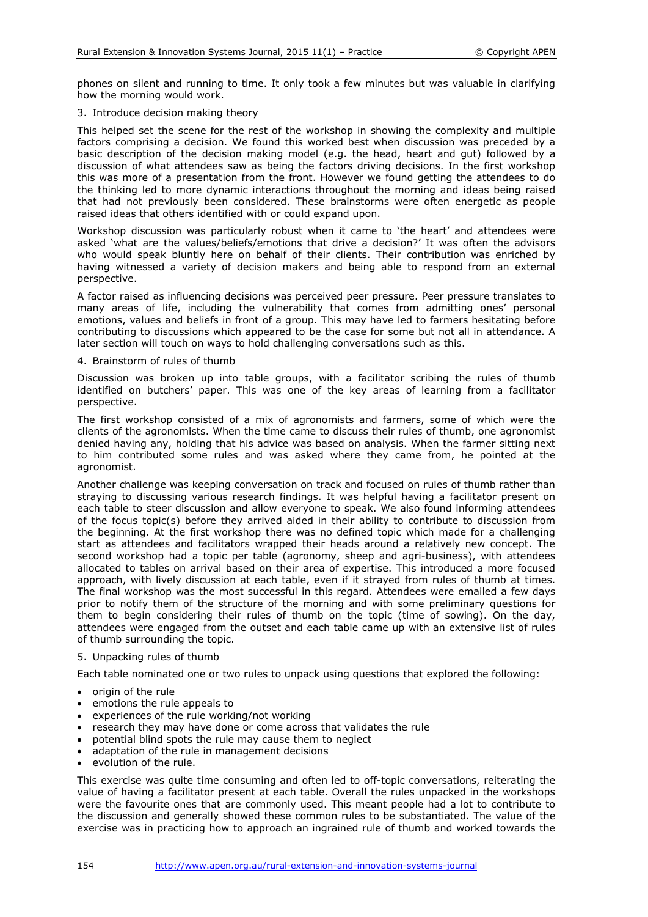phones on silent and running to time. It only took a few minutes but was valuable in clarifying how the morning would work.

# 3. Introduce decision making theory

This helped set the scene for the rest of the workshop in showing the complexity and multiple factors comprising a decision. We found this worked best when discussion was preceded by a basic description of the decision making model (e.g. the head, heart and gut) followed by a discussion of what attendees saw as being the factors driving decisions. In the first workshop this was more of a presentation from the front. However we found getting the attendees to do the thinking led to more dynamic interactions throughout the morning and ideas being raised that had not previously been considered. These brainstorms were often energetic as people raised ideas that others identified with or could expand upon.

Workshop discussion was particularly robust when it came to 'the heart' and attendees were asked 'what are the values/beliefs/emotions that drive a decision?' It was often the advisors who would speak bluntly here on behalf of their clients. Their contribution was enriched by having witnessed a variety of decision makers and being able to respond from an external perspective.

A factor raised as influencing decisions was perceived peer pressure. Peer pressure translates to many areas of life, including the vulnerability that comes from admitting ones' personal emotions, values and beliefs in front of a group. This may have led to farmers hesitating before contributing to discussions which appeared to be the case for some but not all in attendance. A later section will touch on ways to hold challenging conversations such as this.

## 4. Brainstorm of rules of thumb

Discussion was broken up into table groups, with a facilitator scribing the rules of thumb identified on butchers' paper. This was one of the key areas of learning from a facilitator perspective.

The first workshop consisted of a mix of agronomists and farmers, some of which were the clients of the agronomists. When the time came to discuss their rules of thumb, one agronomist denied having any, holding that his advice was based on analysis. When the farmer sitting next to him contributed some rules and was asked where they came from, he pointed at the agronomist.

Another challenge was keeping conversation on track and focused on rules of thumb rather than straying to discussing various research findings. It was helpful having a facilitator present on each table to steer discussion and allow everyone to speak. We also found informing attendees of the focus topic(s) before they arrived aided in their ability to contribute to discussion from the beginning. At the first workshop there was no defined topic which made for a challenging start as attendees and facilitators wrapped their heads around a relatively new concept. The second workshop had a topic per table (agronomy, sheep and agri-business), with attendees allocated to tables on arrival based on their area of expertise. This introduced a more focused approach, with lively discussion at each table, even if it strayed from rules of thumb at times. The final workshop was the most successful in this regard. Attendees were emailed a few days prior to notify them of the structure of the morning and with some preliminary questions for them to begin considering their rules of thumb on the topic (time of sowing). On the day, attendees were engaged from the outset and each table came up with an extensive list of rules of thumb surrounding the topic.

## 5. Unpacking rules of thumb

Each table nominated one or two rules to unpack using questions that explored the following:

- origin of the rule
- emotions the rule appeals to
- experiences of the rule working/not working
- research they may have done or come across that validates the rule
- potential blind spots the rule may cause them to neglect
- adaptation of the rule in management decisions
- evolution of the rule.

This exercise was quite time consuming and often led to off-topic conversations, reiterating the value of having a facilitator present at each table. Overall the rules unpacked in the workshops were the favourite ones that are commonly used. This meant people had a lot to contribute to the discussion and generally showed these common rules to be substantiated. The value of the exercise was in practicing how to approach an ingrained rule of thumb and worked towards the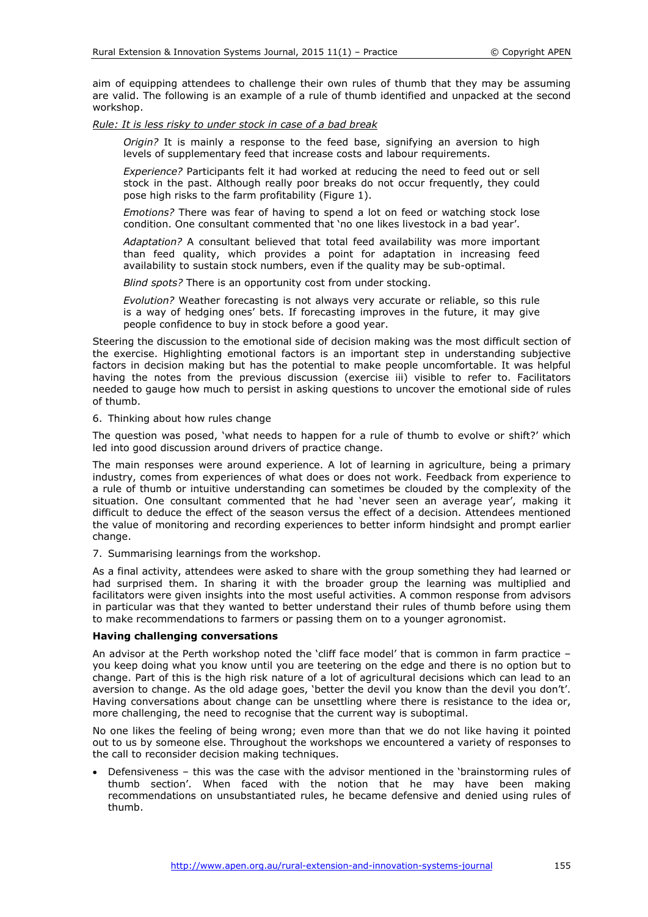aim of equipping attendees to challenge their own rules of thumb that they may be assuming are valid. The following is an example of a rule of thumb identified and unpacked at the second workshop.

*Rule: It is less risky to under stock in case of a bad break* 

*Origin?* It is mainly a response to the feed base, signifying an aversion to high levels of supplementary feed that increase costs and labour requirements.

*Experience?* Participants felt it had worked at reducing the need to feed out or sell stock in the past. Although really poor breaks do not occur frequently, they could pose high risks to the farm profitability (Figure 1).

*Emotions?* There was fear of having to spend a lot on feed or watching stock lose condition. One consultant commented that 'no one likes livestock in a bad year'.

*Adaptation?* A consultant believed that total feed availability was more important than feed quality, which provides a point for adaptation in increasing feed availability to sustain stock numbers, even if the quality may be sub-optimal.

*Blind spots?* There is an opportunity cost from under stocking.

*Evolution?* Weather forecasting is not always very accurate or reliable, so this rule is a way of hedging ones' bets. If forecasting improves in the future, it may give people confidence to buy in stock before a good year.

Steering the discussion to the emotional side of decision making was the most difficult section of the exercise. Highlighting emotional factors is an important step in understanding subjective factors in decision making but has the potential to make people uncomfortable. It was helpful having the notes from the previous discussion (exercise iii) visible to refer to. Facilitators needed to gauge how much to persist in asking questions to uncover the emotional side of rules of thumb.

6. Thinking about how rules change

The question was posed, 'what needs to happen for a rule of thumb to evolve or shift?' which led into good discussion around drivers of practice change.

The main responses were around experience. A lot of learning in agriculture, being a primary industry, comes from experiences of what does or does not work. Feedback from experience to a rule of thumb or intuitive understanding can sometimes be clouded by the complexity of the situation. One consultant commented that he had 'never seen an average year', making it difficult to deduce the effect of the season versus the effect of a decision. Attendees mentioned the value of monitoring and recording experiences to better inform hindsight and prompt earlier change.

7. Summarising learnings from the workshop.

As a final activity, attendees were asked to share with the group something they had learned or had surprised them. In sharing it with the broader group the learning was multiplied and facilitators were given insights into the most useful activities. A common response from advisors in particular was that they wanted to better understand their rules of thumb before using them to make recommendations to farmers or passing them on to a younger agronomist.

# **Having challenging conversations**

An advisor at the Perth workshop noted the 'cliff face model' that is common in farm practice – you keep doing what you know until you are teetering on the edge and there is no option but to change. Part of this is the high risk nature of a lot of agricultural decisions which can lead to an aversion to change. As the old adage goes, 'better the devil you know than the devil you don't'. Having conversations about change can be unsettling where there is resistance to the idea or, more challenging, the need to recognise that the current way is suboptimal.

No one likes the feeling of being wrong; even more than that we do not like having it pointed out to us by someone else. Throughout the workshops we encountered a variety of responses to the call to reconsider decision making techniques.

• Defensiveness – this was the case with the advisor mentioned in the 'brainstorming rules of thumb section'. When faced with the notion that he may have been making recommendations on unsubstantiated rules, he became defensive and denied using rules of thumb.